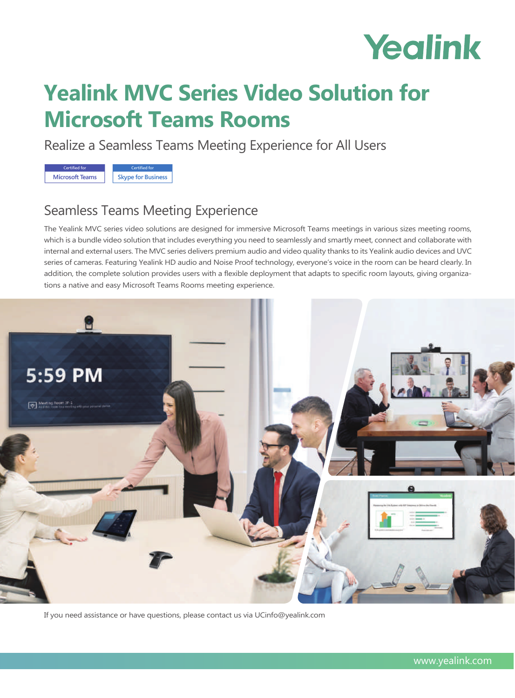# Yealink

## **Yealink MVC Series Video Solution for Microsoft Teams Rooms**

Realize a Seamless Teams Meeting Experience for All Users



### Seamless Teams Meeting Experience

The Yealink MVC series video solutions are designed for immersive Microsoft Teams meetings in various sizes meeting rooms, which is a bundle video solution that includes everything you need to seamlessly and smartly meet, connect and collaborate with internal and external users. The MVC series delivers premium audio and video quality thanks to its Yealink audio devices and UVC series of cameras. Featuring Yealink HD audio and Noise Proof technology, everyone's voice in the room can be heard clearly. In addition, the complete solution provides users with a flexible deployment that adapts to specific room layouts, giving organizations a native and easy Microsoft Teams Rooms meeting experience.



If you need assistance or have questions, please contact us via UCinfo@yealink.com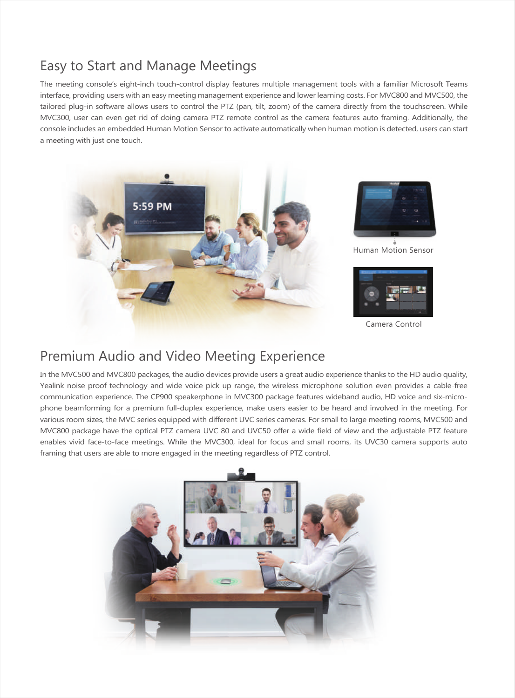### Easy to Start and Manage Meetings

The meeting console's eight-inch touch-control display features multiple management tools with a familiar Microsoft Teams interface, providing users with an easy meeting management experience and lower learning costs. For MVC800 and MVC500, the tailored plug-in software allows users to control the PTZ (pan, tilt, zoom) of the camera directly from the touchscreen. While MVC300, user can even get rid of doing camera PTZ remote control as the camera features auto framing. Additionally, the console includes an embedded Human Motion Sensor to activate automatically when human motion is detected, users can start a meeting with just one touch.



### Premium Audio and Video Meeting Experience

In the MVC500 and MVC800 packages, the audio devices provide users a great audio experience thanks to the HD audio quality, Yealink noise proof technology and wide voice pick up range, the wireless microphone solution even provides a cable-free communication experience. The CP900 speakerphone in MVC300 package features wideband audio, HD voice and six-microphone beamforming for a premium full-duplex experience, make users easier to be heard and involved in the meeting. For various room sizes, the MVC series equipped with different UVC series cameras. For small to large meeting rooms, MVC500 and MVC800 package have the optical PTZ camera UVC 80 and UVC50 offer a wide field of view and the adjustable PTZ feature enables vivid face-to-face meetings. While the MVC300, ideal for focus and small rooms, its UVC30 camera supports auto framing that users are able to more engaged in the meeting regardless of PTZ control.

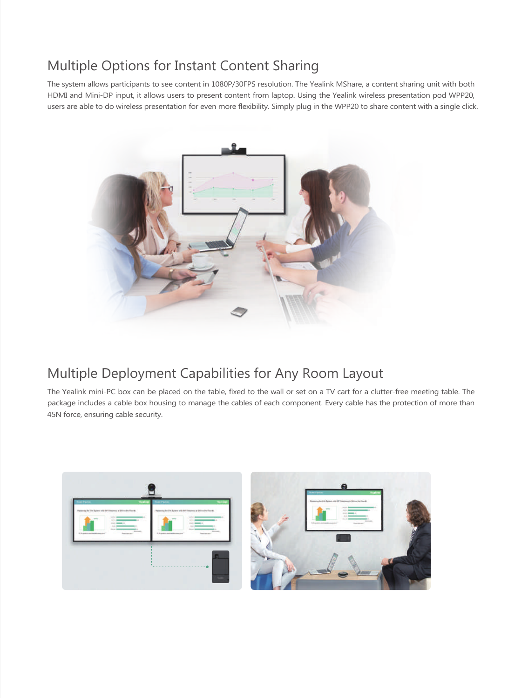### Multiple Options for Instant Content Sharing

The system allows participants to see content in 1080P/30FPS resolution. The Yealink MShare, a content sharing unit with both HDMI and Mini-DP input, it allows users to present content from laptop. Using the Yealink wireless presentation pod WPP20, users are able to do wireless presentation for even more flexibility. Simply plug in the WPP20 to share content with a single click.



### Multiple Deployment Capabilities for Any Room Layout

The Yealink mini-PC box can be placed on the table, fixed to the wall or set on a TV cart for a clutter-free meeting table. The package includes a cable box housing to manage the cables of each component. Every cable has the protection of more than 45N force, ensuring cable security.

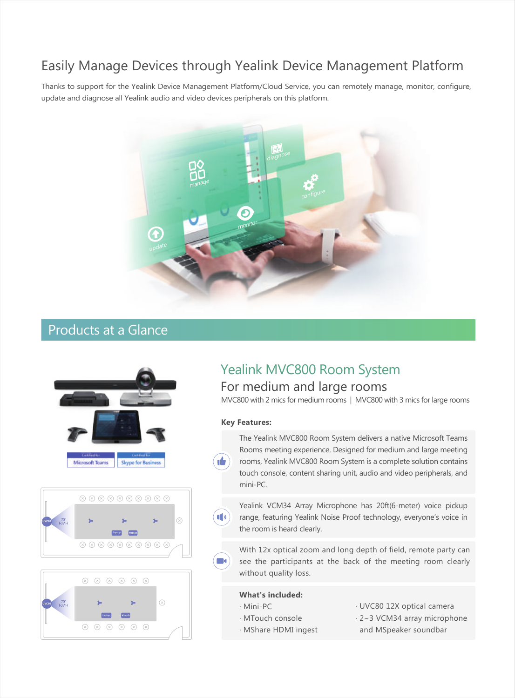### Easily Manage Devices through Yealink Device Management Platform

Thanks to support for the Yealink Device Management Platform/Cloud Service, you can remotely manage, monitor, configure, update and diagnose all Yealink audio and video devices peripherals on this platform.



### Products at a Glance







### For medium and large rooms Yealink MVC800 Room System

MVC800 with 2 mics for medium rooms | MVC800 with 3 mics for large rooms

#### **Key Features:**

 $\blacksquare$ 

The Yealink MVC800 Room System delivers a native Microsoft Teams Rooms meeting experience. Designed for medium and large meeting rooms, Yealink MVC800 Room System is a complete solution contains touch console, content sharing unit, audio and video peripherals, and mini-PC.

Yealink VCM34 Array Microphone has 20ft(6-meter) voice pickup range, featuring Yealink Noise Proof technology, everyone's voice in the room is heard clearly.

With 12x optical zoom and long depth of field, remote party can see the participants at the back of the meeting room clearly without quality loss.

#### **What's included:**

- · Mini-PC
- · MTouch console
- · MShare HDMI ingest
- · UVC80 12X optical camera
- · 2~3 VCM34 array microphone and MSpeaker soundbar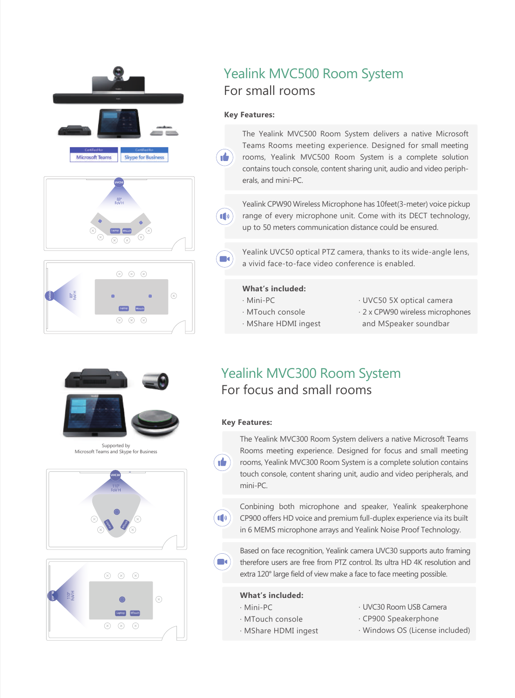





Supported by Microsoft Teams and Skype for Business





### For small rooms Yealink MVC500 Room System

### **Key Features:**

٠é.

 $\left| \mathbf{0} \right|$ 

The Yealink MVC500 Room System delivers a native Microsoft Teams Rooms meeting experience. Designed for small meeting rooms, Yealink MVC500 Room System is a complete solution contains touch console, content sharing unit, audio and video peripherals, and mini-PC.

Yealink CPW90 Wireless Microphone has 10feet(3-meter) voice pickup range of every microphone unit. Come with its DECT technology, up to 50 meters communication distance could be ensured.

Yealink UVC50 optical PTZ camera, thanks to its wide-angle lens, a vivid face-to-face video conference is enabled.

#### **What's included:**

- · Mini-PC
- · MTouch console
- · MShare HDMI ingest
- · UVC50 5X optical camera
- · 2 x CPW90 wireless microphones and MSpeaker soundbar

### For focus and small rooms Yealink MVC300 Room System

#### **Key Features:**

ıĖ

 $\blacksquare$ 

 $\Box$ 

The Yealink MVC300 Room System delivers a native Microsoft Teams Rooms meeting experience. Designed for focus and small meeting rooms, Yealink MVC300 Room System is a complete solution contains touch console, content sharing unit, audio and video peripherals, and mini-PC.

Conbining both microphone and speaker, Yealink speakerphone CP900 offers HD voice and premium full-duplex experience via its built in 6 MEMS microphone arrays and Yealink Noise Proof Technology.

Based on face recognition, Yealink camera UVC30 supports auto framing therefore users are free from PTZ control. Its ultra HD 4K resolution and extra 120° large field of view make a face to face meeting possible.

#### **What's included:**

· MTouch console · MShare HDMI ingest

- · Mini-PC
- · UVC30 Room USB Camera
- · CP900 Speakerphone
- · Windows OS (License included)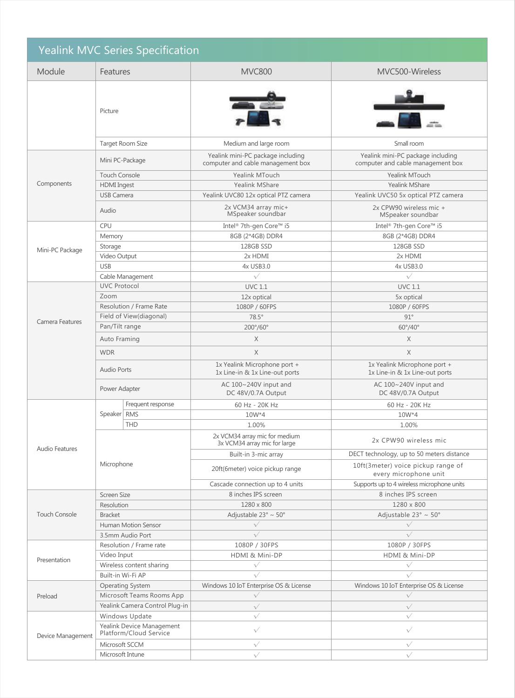| <b>Yealink MVC Series Specification</b> |                                                     |                         |                                                                        |                                                                        |  |
|-----------------------------------------|-----------------------------------------------------|-------------------------|------------------------------------------------------------------------|------------------------------------------------------------------------|--|
| Module                                  | Features                                            |                         | <b>MVC800</b>                                                          | MVC500-Wireless                                                        |  |
|                                         | Picture                                             |                         |                                                                        |                                                                        |  |
|                                         | Target Room Size                                    |                         | Medium and large room                                                  | Small room                                                             |  |
| Components                              | Mini PC-Package                                     |                         | Yealink mini-PC package including<br>computer and cable management box | Yealink mini-PC package including<br>computer and cable management box |  |
|                                         | <b>Touch Console</b>                                |                         | Yealink MTouch                                                         | Yealink MTouch                                                         |  |
|                                         | <b>HDMI</b> Ingest                                  |                         | Yealink MShare                                                         | <b>Yealink MShare</b>                                                  |  |
|                                         | <b>USB Camera</b>                                   |                         | Yealink UVC80 12x optical PTZ camera                                   | Yealink UVC50 5x optical PTZ camera                                    |  |
|                                         | Audio                                               |                         | 2x VCM34 array mic+<br>MSpeaker soundbar                               | 2x CPW90 wireless mic +<br>MSpeaker soundbar                           |  |
|                                         | <b>CPU</b>                                          |                         | Intel® 7th-gen Core™ i5                                                | Intel® 7th-gen Core™ i5                                                |  |
|                                         | Memory                                              |                         | 8GB (2*4GB) DDR4                                                       | 8GB (2*4GB) DDR4                                                       |  |
| Mini-PC Package                         | Storage                                             |                         | 128GB SSD                                                              | 128GB SSD                                                              |  |
|                                         | Video Output                                        |                         | 2x HDMI                                                                | 2x HDMI                                                                |  |
|                                         | <b>USB</b>                                          |                         | 4x USB3.0                                                              | 4x USB3.0                                                              |  |
|                                         | Cable Management                                    |                         | $\sqrt{}$                                                              | $\sqrt{}$                                                              |  |
|                                         | <b>UVC Protocol</b>                                 |                         | <b>UVC 1.1</b>                                                         | <b>UVC 1.1</b>                                                         |  |
|                                         | Zoom                                                |                         | 12x optical                                                            | 5x optical                                                             |  |
|                                         | Resolution / Frame Rate                             |                         | 1080P / 60FPS                                                          | 1080P / 60FPS                                                          |  |
|                                         |                                                     | Field of View(diagonal) | $78.5^\circ$                                                           | $91^\circ$                                                             |  |
| Camera Features                         | Pan/Tilt range                                      |                         | 200°/60°                                                               | $60^{\circ}/40^{\circ}$                                                |  |
|                                         |                                                     |                         | X                                                                      | X                                                                      |  |
|                                         | Auto Framing                                        |                         |                                                                        |                                                                        |  |
|                                         | <b>WDR</b>                                          |                         | X                                                                      | $\times$                                                               |  |
|                                         | Audio Ports                                         |                         | 1x Yealink Microphone port +<br>1x Line-in & 1x Line-out ports         | 1x Yealink Microphone port +<br>1x Line-in & 1x Line-out ports         |  |
|                                         | Power Adapter                                       |                         | AC 100~240V input and<br>DC 48V/0.7A Output                            | AC 100~240V input and<br>DC 48V/0.7A Output                            |  |
|                                         |                                                     | Frequent response       | 60 Hz - 20K Hz                                                         | 60 Hz - 20K Hz                                                         |  |
|                                         | Speaker RMS                                         |                         | $10W*4$                                                                | $10W*4$                                                                |  |
|                                         |                                                     | <b>THD</b>              | 1.00%                                                                  | 1.00%                                                                  |  |
| Audio Features                          |                                                     |                         | 2x VCM34 array mic for medium<br>3x VCM34 array mic for large          | 2x CPW90 wireless mic                                                  |  |
|                                         |                                                     |                         | Built-in 3-mic array                                                   | DECT technology, up to 50 meters distance                              |  |
|                                         | Microphone                                          |                         | 20ft(6meter) voice pickup range                                        | 10ft(3meter) voice pickup range of<br>every microphone unit            |  |
|                                         |                                                     |                         | Cascade connection up to 4 units                                       | Supports up to 4 wireless microphone units                             |  |
|                                         | Screen Size                                         |                         | 8 inches IPS screen                                                    | 8 inches IPS screen                                                    |  |
|                                         | Resolution                                          |                         | 1280 x 800                                                             | 1280 x 800                                                             |  |
| <b>Touch Console</b>                    | <b>Bracket</b>                                      |                         | Adjustable 23° ~ 50°                                                   | Adjustable 23° ~ 50°                                                   |  |
|                                         |                                                     | Human Motion Sensor     | $\sqrt{}$                                                              | $\sqrt{}$                                                              |  |
|                                         | 3.5mm Audio Port                                    |                         | $\sqrt{}$                                                              | $\sqrt{}$                                                              |  |
|                                         | Resolution / Frame rate                             |                         | 1080P / 30FPS                                                          | 1080P / 30FPS                                                          |  |
| Presentation                            | Video Input                                         |                         | HDMI & Mini-DP                                                         | HDMI & Mini-DP                                                         |  |
|                                         | Wireless content sharing                            |                         | $\sqrt{}$                                                              | $\sqrt{}$                                                              |  |
|                                         | Built-in Wi-Fi AP                                   |                         | $\sqrt{}$                                                              | $\sqrt{}$                                                              |  |
| Preload                                 | Operating System                                    |                         | Windows 10 IoT Enterprise OS & License                                 | Windows 10 IoT Enterprise OS & License                                 |  |
|                                         | Microsoft Teams Rooms App                           |                         | $\sqrt{}$                                                              | $\sqrt{}$                                                              |  |
|                                         | Yealink Camera Control Plug-in                      |                         | $\sqrt{}$                                                              | $\sqrt{}$                                                              |  |
|                                         | Windows Update                                      |                         | $\sqrt{}$                                                              | $\sqrt{}$                                                              |  |
| Device Management                       | Yealink Device Management<br>Platform/Cloud Service |                         | $\sqrt{}$                                                              | $\sqrt{}$                                                              |  |
|                                         | Microsoft SCCM                                      |                         | $\sqrt{}$                                                              | $\sqrt{}$                                                              |  |
|                                         | Microsoft Intune                                    |                         | $\sqrt{}$                                                              | $\sqrt{}$                                                              |  |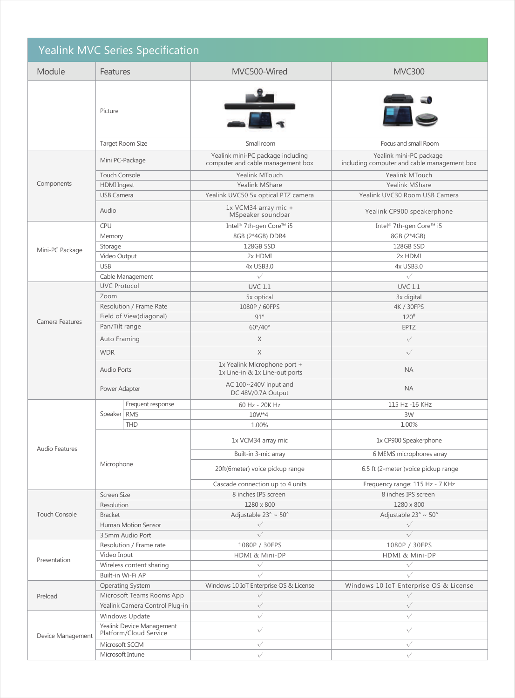| <b>Yealink MVC Series Specification</b> |                                                     |                                                                        |                                                                        |  |  |
|-----------------------------------------|-----------------------------------------------------|------------------------------------------------------------------------|------------------------------------------------------------------------|--|--|
| Module                                  | Features                                            | MVC500-Wired                                                           | <b>MVC300</b>                                                          |  |  |
|                                         | Picture                                             |                                                                        |                                                                        |  |  |
|                                         | Target Room Size                                    | Small room                                                             | Focus and small Room                                                   |  |  |
| Components                              | Mini PC-Package                                     | Yealink mini-PC package including<br>computer and cable management box | Yealink mini-PC package<br>including computer and cable management box |  |  |
|                                         | <b>Touch Console</b>                                | Yealink MTouch                                                         | Yealink MTouch                                                         |  |  |
|                                         | <b>HDMI</b> Ingest                                  | Yealink MShare                                                         | Yealink MShare                                                         |  |  |
|                                         | <b>USB Camera</b>                                   | Yealink UVC50 5x optical PTZ camera                                    | Yealink UVC30 Room USB Camera                                          |  |  |
|                                         | Audio                                               | 1x VCM34 array mic +<br>MSpeaker soundbar                              | Yealink CP900 speakerphone                                             |  |  |
|                                         | CPU                                                 | Intel® 7th-gen Core™ i5                                                | Intel® 7th-gen Core™ i5                                                |  |  |
|                                         | Memory                                              | 8GB (2*4GB) DDR4                                                       | 8GB (2*4GB)                                                            |  |  |
| Mini-PC Package                         | Storage                                             | 128GB SSD                                                              | 128GB SSD                                                              |  |  |
|                                         | Video Output                                        | 2x HDMI                                                                | 2x HDMI                                                                |  |  |
|                                         | <b>USB</b>                                          | 4x USB3.0                                                              | 4x USB3.0                                                              |  |  |
|                                         | Cable Management                                    | $\sqrt{}$                                                              | $\sqrt{}$                                                              |  |  |
|                                         | <b>UVC Protocol</b>                                 | <b>UVC 1.1</b>                                                         | <b>UVC 1.1</b>                                                         |  |  |
|                                         | Zoom                                                | 5x optical                                                             | 3x digital                                                             |  |  |
|                                         | Resolution / Frame Rate                             | 1080P / 60FPS                                                          | 4K / 30FPS                                                             |  |  |
|                                         | Field of View(diagonal)                             | $91^\circ$                                                             | 120 <sup>o</sup>                                                       |  |  |
| Camera Features                         | Pan/Tilt range                                      | $60^{\circ}/40^{\circ}$                                                | <b>EPTZ</b>                                                            |  |  |
|                                         |                                                     | X                                                                      | $\sqrt{}$                                                              |  |  |
|                                         | Auto Framing                                        |                                                                        |                                                                        |  |  |
|                                         | <b>WDR</b>                                          | $\times$                                                               | $\sqrt{}$                                                              |  |  |
|                                         | <b>Audio Ports</b>                                  | 1x Yealink Microphone port +<br>1x Line-in & 1x Line-out ports         | <b>NA</b>                                                              |  |  |
|                                         | Power Adapter                                       | AC 100~240V input and<br>DC 48V/0.7A Output                            | <b>NA</b>                                                              |  |  |
|                                         | Frequent response                                   | 60 Hz - 20K Hz                                                         | 115 Hz -16 KHz                                                         |  |  |
|                                         | Speaker RMS                                         | 10W*4                                                                  | 3W                                                                     |  |  |
|                                         | <b>THD</b>                                          | 1.00%                                                                  | 1.00%                                                                  |  |  |
| Audio Features                          |                                                     | 1x VCM34 array mic                                                     | 1x CP900 Speakerphone                                                  |  |  |
|                                         |                                                     | Built-in 3-mic array                                                   | 6 MEMS microphones array                                               |  |  |
|                                         | Microphone                                          | 20ft(6meter) voice pickup range                                        | 6.5 ft (2-meter ) voice pickup range                                   |  |  |
|                                         |                                                     | Cascade connection up to 4 units                                       | Frequency range: 115 Hz - 7 KHz                                        |  |  |
|                                         | Screen Size                                         | 8 inches IPS screen                                                    | 8 inches IPS screen                                                    |  |  |
|                                         | Resolution                                          | 1280 x 800                                                             | 1280 x 800                                                             |  |  |
| <b>Touch Console</b>                    | <b>Bracket</b>                                      | Adjustable 23° ~ 50°                                                   | Adjustable 23° ~ 50°                                                   |  |  |
|                                         | <b>Human Motion Sensor</b>                          | $\sqrt{}$                                                              | $\sqrt{}$                                                              |  |  |
|                                         | 3.5mm Audio Port                                    | $\sqrt{}$                                                              | $\sqrt{}$                                                              |  |  |
| Presentation                            | Resolution / Frame rate                             | 1080P / 30FPS                                                          | 1080P / 30FPS                                                          |  |  |
|                                         | Video Input                                         | HDMI & Mini-DP                                                         | HDMI & Mini-DP                                                         |  |  |
|                                         | Wireless content sharing                            | $\sqrt{}$                                                              | $\sqrt{}$                                                              |  |  |
|                                         | Built-in Wi-Fi AP                                   | $\sqrt{}$                                                              | $\sqrt{}$                                                              |  |  |
| Preload                                 | <b>Operating System</b>                             | Windows 10 IoT Enterprise OS & License                                 | Windows 10 IoT Enterprise OS & License                                 |  |  |
|                                         | Microsoft Teams Rooms App                           | $\sqrt{}$                                                              | $\sqrt{}$                                                              |  |  |
|                                         | Yealink Camera Control Plug-in                      | $\sqrt{}$                                                              | $\sqrt{}$                                                              |  |  |
|                                         | Windows Update                                      | $\sqrt{}$                                                              | $\sqrt{}$                                                              |  |  |
| Device Management                       | Yealink Device Management<br>Platform/Cloud Service | $\sqrt{}$                                                              | $\sqrt{}$                                                              |  |  |
|                                         | Microsoft SCCM                                      | $\sqrt{}$                                                              | $\sqrt{}$                                                              |  |  |
|                                         | Microsoft Intune                                    | $\sqrt{}$                                                              | $\sqrt{}$                                                              |  |  |